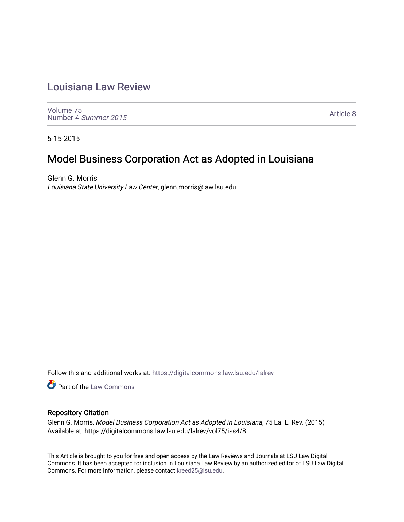# [Louisiana Law Review](https://digitalcommons.law.lsu.edu/lalrev)

[Volume 75](https://digitalcommons.law.lsu.edu/lalrev/vol75) [Number 4](https://digitalcommons.law.lsu.edu/lalrev/vol75/iss4) Summer 2015

[Article 8](https://digitalcommons.law.lsu.edu/lalrev/vol75/iss4/8) 

5-15-2015

## Model Business Corporation Act as Adopted in Louisiana

Glenn G. Morris Louisiana State University Law Center, glenn.morris@law.lsu.edu

Follow this and additional works at: [https://digitalcommons.law.lsu.edu/lalrev](https://digitalcommons.law.lsu.edu/lalrev?utm_source=digitalcommons.law.lsu.edu%2Flalrev%2Fvol75%2Fiss4%2F8&utm_medium=PDF&utm_campaign=PDFCoverPages)

**Part of the [Law Commons](http://network.bepress.com/hgg/discipline/578?utm_source=digitalcommons.law.lsu.edu%2Flalrev%2Fvol75%2Fiss4%2F8&utm_medium=PDF&utm_campaign=PDFCoverPages)** 

### Repository Citation

Glenn G. Morris, Model Business Corporation Act as Adopted in Louisiana, 75 La. L. Rev. (2015) Available at: https://digitalcommons.law.lsu.edu/lalrev/vol75/iss4/8

This Article is brought to you for free and open access by the Law Reviews and Journals at LSU Law Digital Commons. It has been accepted for inclusion in Louisiana Law Review by an authorized editor of LSU Law Digital Commons. For more information, please contact [kreed25@lsu.edu](mailto:kreed25@lsu.edu).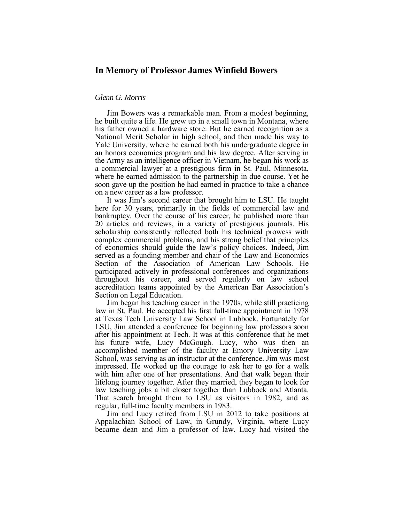### **In Memory of Professor James Winfield Bowers**

#### *Glenn G. Morris*

 he built quite a life. He grew up in a small town in Montana, where the Army as an intelligence officer in Vietnam, he began his work as Jim Bowers was a remarkable man. From a modest beginning, his father owned a hardware store. But he earned recognition as a National Merit Scholar in high school, and then made his way to Yale University, where he earned both his undergraduate degree in an honors economics program and his law degree. After serving in a commercial lawyer at a prestigious firm in St. Paul, Minnesota, where he earned admission to the partnership in due course. Yet he soon gave up the position he had earned in practice to take a chance on a new career as a law professor.

 bankruptcy. Over the course of his career, he published more than complex commercial problems, and his strong belief that principles participated actively in professional conferences and organizations accreditation teams appointed by the American Bar Association's It was Jim's second career that brought him to LSU. He taught here for 30 years, primarily in the fields of commercial law and 20 articles and reviews, in a variety of prestigious journals. His scholarship consistently reflected both his technical prowess with of economics should guide the law's policy choices. Indeed, Jim served as a founding member and chair of the Law and Economics Section of the Association of American Law Schools. He throughout his career, and served regularly on law school Section on Legal Education.

 law in St. Paul. He accepted his first full-time appointment in 1978 at Texas Tech University Law School in Lubbock. Fortunately for LSU, Jim attended a conference for beginning law professors soon his future wife, Lucy McGough. Lucy, who was then an accomplished member of the faculty at Emory University Law School, was serving as an instructor at the conference. Jim was most impressed. He worked up the courage to ask her to go for a walk lifelong journey together. After they married, they began to look for law teaching jobs a bit closer together than Lubbock and Atlanta. That search brought them to LSU as visitors in 1982, and as Jim began his teaching career in the 1970s, while still practicing after his appointment at Tech. It was at this conference that he met with him after one of her presentations. And that walk began their regular, full-time faculty members in 1983.

 Jim and Lucy retired from LSU in 2012 to take positions at became dean and Jim a professor of law. Lucy had visited the Appalachian School of Law, in Grundy, Virginia, where Lucy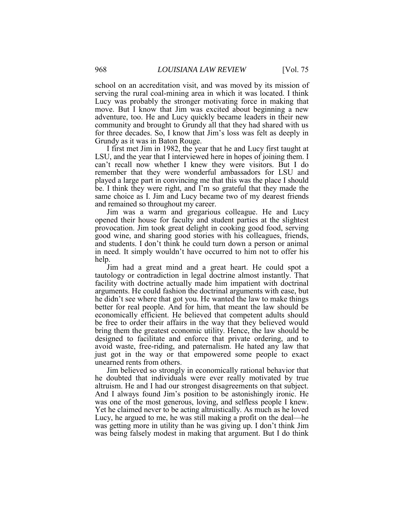serving the rural coal-mining area in which it was located. I think Lucy was probably the stronger motivating force in making that move. But I know that Jim was excited about beginning a new adventure, too. He and Lucy quickly became leaders in their new community and brought to Grundy all that they had shared with us school on an accreditation visit, and was moved by its mission of for three decades. So, I know that Jim's loss was felt as deeply in Grundy as it was in Baton Rouge.

 I first met Jim in 1982, the year that he and Lucy first taught at LSU, and the year that I interviewed here in hopes of joining them. I can't recall now whether I knew they were visitors. But I do remember that they were wonderful ambassadors for LSU and played a large part in convincing me that this was the place I should be. I think they were right, and I'm so grateful that they made the same choice as I. Jim and Lucy became two of my dearest friends and remained so throughout my career.

 Jim was a warm and gregarious colleague. He and Lucy opened their house for faculty and student parties at the slightest and students. I don't think he could turn down a person or animal in need. It simply wouldn't have occurred to him not to offer his provocation. Jim took great delight in cooking good food, serving good wine, and sharing good stories with his colleagues, friends, help.

 tautology or contradiction in legal doctrine almost instantly. That facility with doctrine actually made him impatient with doctrinal he didn't see where that got you. He wanted the law to make things economically efficient. He believed that competent adults should designed to facilitate and enforce that private ordering, and to Jim had a great mind and a great heart. He could spot a arguments. He could fashion the doctrinal arguments with ease, but better for real people. And for him, that meant the law should be be free to order their affairs in the way that they believed would bring them the greatest economic utility. Hence, the law should be avoid waste, free-riding, and paternalism. He hated any law that just got in the way or that empowered some people to exact unearned rents from others.

 And I always found Jim's position to be astonishingly ironic. He was one of the most generous, loving, and selfless people I knew. Yet he claimed never to be acting altruistically. As much as he loved Lucy, he argued to me, he was still making a profit on the deal—he was getting more in utility than he was giving up. I don't think Jim was being falsely modest in making that argument. But I do think Jim believed so strongly in economically rational behavior that he doubted that individuals were ever really motivated by true altruism. He and I had our strongest disagreements on that subject.